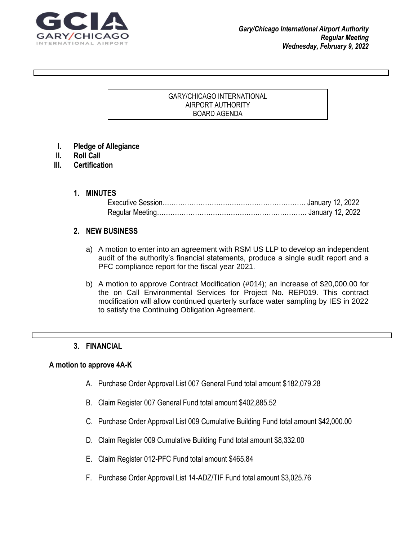

#### GARY/CHICAGO INTERNATIONAL AIRPORT AUTHORITY BOARD AGENDA

 $\Gamma$  grad your reader to attention with a great  $\sigma$  great  $\sigma$  and  $\sigma$  use this space to emphasize and  $\sigma$ 

key point. To place the place this text box anywhere on the page, just drag it. It is the page, just drag it.

- **I. Pledge of Allegiance**
- **II. Roll Call**
- **III. Certification**

#### **1. MINUTES**

### **2. NEW BUSINESS**

- a) A motion to enter into an agreement with RSM US LLP to develop an independent audit of the authority's financial statements, produce a single audit report and a PFC compliance report for the fiscal year 2021.
- b) A motion to approve Contract Modification (#014); an increase of \$20,000.00 for the on Call Environmental Services for Project No. REP019. This contract modification will allow continued quarterly surface water sampling by IES in 2022 to satisfy the Continuing Obligation Agreement.

### **3. FINANCIAL**

### **A motion to approve 4A-K**

- A. Purchase Order Approval List 007 General Fund total amount \$182,079.28
- B. Claim Register 007 General Fund total amount \$402,885.52
- C. Purchase Order Approval List 009 Cumulative Building Fund total amount \$42,000.00
- D. Claim Register 009 Cumulative Building Fund total amount \$8,332.00
- E. Claim Register 012-PFC Fund total amount \$465.84
- F. Purchase Order Approval List 14-ADZ/TIF Fund total amount \$3,025.76